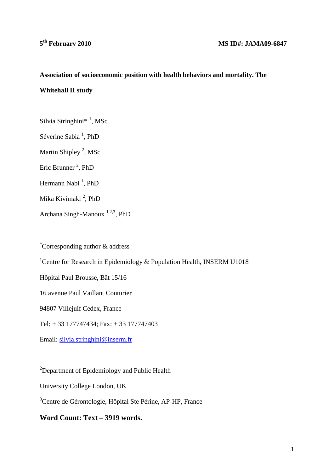# **Association of socioeconomic position with health behaviors and mortality. The Whitehall II study**

Silvia Stringhini\*<sup>1</sup>, MSc Séverine Sabia<sup>1</sup>, PhD Martin Shipley<sup>2</sup>, MSc Eric Brunner<sup>2</sup>, PhD Hermann Nabi<sup>1</sup>, PhD Mika Kivimaki<sup>2</sup>, PhD Archana Singh-Manoux<sup>1,2,3</sup>, PhD

\*Corresponding author & address <sup>1</sup> Centre for Research in Epidemiology & Population Health, INSERM U1018 Hôpital Paul Brousse, Bât 15/16 16 avenue Paul Vaillant Couturier 94807 Villejuif Cedex, France Tel: + 33 177747434; Fax: + 33 177747403 Email: [silvia.stringhini@inserm.fr](mailto:Archana.Singh-Manoux@st-maurice.inserm.fr)

<sup>2</sup>Department of Epidemiology and Public Health

University College London, UK

<sup>3</sup>Centre de Gérontologie, Hôpital Ste Périne, AP-HP, France

**Word Count: Text – 3919 words.**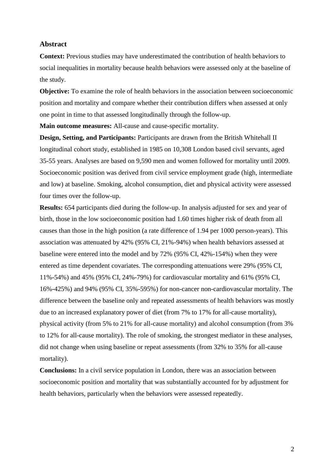#### **Abstract**

**Context:** Previous studies may have underestimated the contribution of health behaviors to social inequalities in mortality because health behaviors were assessed only at the baseline of the study.

**Objective:** To examine the role of health behaviors in the association between socioeconomic position and mortality and compare whether their contribution differs when assessed at only one point in time to that assessed longitudinally through the follow-up.

**Main outcome measures:** All-cause and cause-specific mortality.

**Design, Setting, and Participants:** Participants are drawn from the British Whitehall II longitudinal cohort study, established in 1985 on 10,308 London based civil servants, aged 35-55 years. Analyses are based on 9,590 men and women followed for mortality until 2009. Socioeconomic position was derived from civil service employment grade (high, intermediate and low) at baseline. Smoking, alcohol consumption, diet and physical activity were assessed four times over the follow-up.

**Results:** 654 participants died during the follow-up. In analysis adjusted for sex and year of birth, those in the low socioeconomic position had 1.60 times higher risk of death from all causes than those in the high position (a rate difference of 1.94 per 1000 person-years). This association was attenuated by 42% (95% CI, 21%-94%) when health behaviors assessed at baseline were entered into the model and by 72% (95% CI, 42%-154%) when they were entered as time dependent covariates. The corresponding attenuations were 29% (95% CI, 11%-54%) and 45% (95% CI, 24%-79%) for cardiovascular mortality and 61% (95% CI, 16%-425%) and 94% (95% CI, 35%-595%) for non-cancer non-cardiovascular mortality. The difference between the baseline only and repeated assessments of health behaviors was mostly due to an increased explanatory power of diet (from 7% to 17% for all-cause mortality), physical activity (from 5% to 21% for all-cause mortality) and alcohol consumption (from 3% to 12% for all-cause mortality). The role of smoking, the strongest mediator in these analyses, did not change when using baseline or repeat assessments (from 32% to 35% for all-cause mortality).

**Conclusions:** In a civil service population in London, there was an association between socioeconomic position and mortality that was substantially accounted for by adjustment for health behaviors, particularly when the behaviors were assessed repeatedly.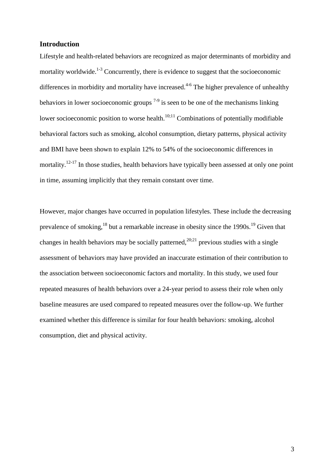## **Introduction**

Lifestyle and health-related behaviors are recognized as major determinants of morbidity and mortality worldwide.<sup>1-3</sup> Concurrently, there is evidence to suggest that the socioeconomic differences in morbidity and mortality have increased. $4-6$  The higher prevalence of unhealthy behaviors in lower socioeconomic groups  $7-9$  is seen to be one of the mechanisms linking lower socioeconomic position to worse health. $10;11$  Combinations of potentially modifiable behavioral factors such as smoking, alcohol consumption, dietary patterns, physical activity and BMI have been shown to explain 12% to 54% of the socioeconomic differences in mortality.<sup>12-17</sup> In those studies, health behaviors have typically been assessed at only one point in time, assuming implicitly that they remain constant over time.

However, major changes have occurred in population lifestyles. These include the decreasing prevalence of smoking, $^{18}$  but a remarkable increase in obesity since the 1990s.<sup>19</sup> Given that changes in health behaviors may be socially patterned,<sup>20;21</sup> previous studies with a single assessment of behaviors may have provided an inaccurate estimation of their contribution to the association between socioeconomic factors and mortality. In this study, we used four repeated measures of health behaviors over a 24-year period to assess their role when only baseline measures are used compared to repeated measures over the follow-up. We further examined whether this difference is similar for four health behaviors: smoking, alcohol consumption, diet and physical activity.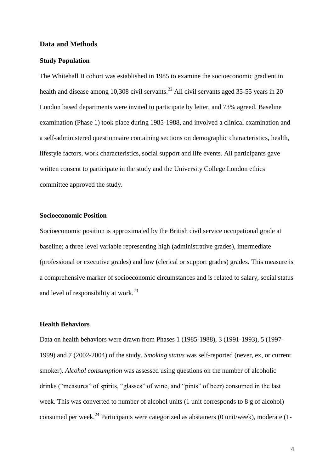## **Data and Methods**

# **Study Population**

The Whitehall II cohort was established in 1985 to examine the socioeconomic gradient in health and disease among 10,308 civil servants.<sup>22</sup> All civil servants aged 35-55 years in 20 London based departments were invited to participate by letter, and 73% agreed. Baseline examination (Phase 1) took place during 1985-1988, and involved a clinical examination and a self-administered questionnaire containing sections on demographic characteristics, health, lifestyle factors, work characteristics, social support and life events. All participants gave written consent to participate in the study and the University College London ethics committee approved the study.

# **Socioeconomic Position**

Socioeconomic position is approximated by the British civil service occupational grade at baseline; a three level variable representing high (administrative grades), intermediate (professional or executive grades) and low (clerical or support grades) grades. This measure is a comprehensive marker of socioeconomic circumstances and is related to salary, social status and level of responsibility at work.<sup>23</sup>

## **Health Behaviors**

Data on health behaviors were drawn from Phases 1 (1985-1988), 3 (1991-1993), 5 (1997- 1999) and 7 (2002-2004) of the study. *Smoking status* was self-reported (never, ex, or current smoker). *Alcohol consumption* was assessed using questions on the number of alcoholic drinks ("measures" of spirits, "glasses" of wine, and "pints" of beer) consumed in the last week. This was converted to number of alcohol units (1 unit corresponds to 8 g of alcohol) consumed per week.<sup>24</sup> Participants were categorized as abstainers  $(0 \text{ unit/week})$ , moderate  $(1-\frac{1}{2})$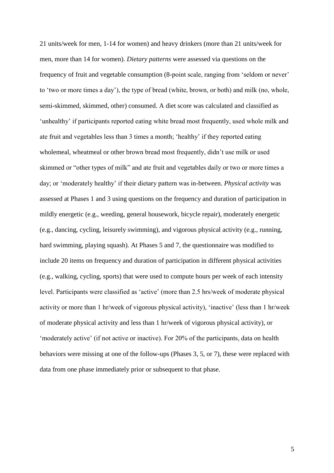21 units/week for men, 1-14 for women) and heavy drinkers (more than 21 units/week for men, more than 14 for women). *Dietary patterns* were assessed via questions on the frequency of fruit and vegetable consumption (8-point scale, ranging from "seldom or never" to "two or more times a day"), the type of bread (white, brown, or both) and milk (no, whole, semi-skimmed, skimmed, other) consumed. A diet score was calculated and classified as "unhealthy" if participants reported eating white bread most frequently, used whole milk and ate fruit and vegetables less than 3 times a month; "healthy" if they reported eating wholemeal, wheatmeal or other brown bread most frequently, didn"t use milk or used skimmed or "other types of milk" and ate fruit and vegetables daily or two or more times a day; or "moderately healthy" if their dietary pattern was in-between. *Physical activity* was assessed at Phases 1 and 3 using questions on the frequency and duration of participation in mildly energetic (e.g., weeding, general housework, bicycle repair), moderately energetic (e.g., dancing, cycling, leisurely swimming), and vigorous physical activity (e.g., running, hard swimming, playing squash). At Phases 5 and 7, the questionnaire was modified to include 20 items on frequency and duration of participation in different physical activities (e.g., walking, cycling, sports) that were used to compute hours per week of each intensity level. Participants were classified as "active" (more than 2.5 hrs/week of moderate physical activity or more than 1 hr/week of vigorous physical activity), "inactive" (less than 1 hr/week of moderate physical activity and less than 1 hr/week of vigorous physical activity), or "moderately active" (if not active or inactive). For 20% of the participants, data on health behaviors were missing at one of the follow-ups (Phases 3, 5, or 7), these were replaced with data from one phase immediately prior or subsequent to that phase.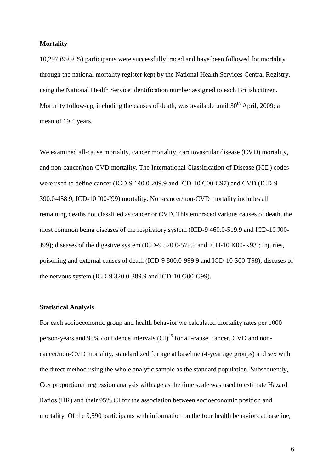## **Mortality**

10,297 (99.9 %) participants were successfully traced and have been followed for mortality through the national mortality register kept by the National Health Services Central Registry, using the National Health Service identification number assigned to each British citizen. Mortality follow-up, including the causes of death, was available until  $30<sup>th</sup>$  April, 2009; a mean of 19.4 years.

We examined all-cause mortality, cancer mortality, cardiovascular disease (CVD) mortality, and non-cancer/non-CVD mortality. The International Classification of Disease (ICD) codes were used to define cancer (ICD-9 140.0-209.9 and ICD-10 C00-C97) and CVD (ICD-9 390.0-458.9, ICD-10 I00-I99) mortality. Non-cancer/non-CVD mortality includes all remaining deaths not classified as cancer or CVD. This embraced various causes of death, the most common being diseases of the respiratory system (ICD-9 460.0-519.9 and ICD-10 J00- J99); diseases of the digestive system (ICD-9 520.0-579.9 and ICD-10 K00-K93); injuries, poisoning and external causes of death (ICD-9 800.0-999.9 and ICD-10 S00-T98); diseases of the nervous system (ICD-9 320.0-389.9 and ICD-10 G00-G99).

#### **Statistical Analysis**

For each socioeconomic group and health behavior we calculated mortality rates per 1000 person-years and 95% confidence intervals  $(CI)^{25}$  for all-cause, cancer, CVD and noncancer/non-CVD mortality, standardized for age at baseline (4-year age groups) and sex with the direct method using the whole analytic sample as the standard population. Subsequently, Cox proportional regression analysis with age as the time scale was used to estimate Hazard Ratios (HR) and their 95% CI for the association between socioeconomic position and mortality. Of the 9,590 participants with information on the four health behaviors at baseline,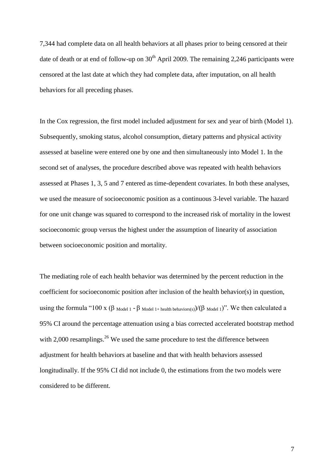7,344 had complete data on all health behaviors at all phases prior to being censored at their date of death or at end of follow-up on  $30<sup>th</sup>$  April 2009. The remaining 2,246 participants were censored at the last date at which they had complete data, after imputation, on all health behaviors for all preceding phases.

In the Cox regression, the first model included adjustment for sex and year of birth (Model 1). Subsequently, smoking status, alcohol consumption, dietary patterns and physical activity assessed at baseline were entered one by one and then simultaneously into Model 1. In the second set of analyses, the procedure described above was repeated with health behaviors assessed at Phases 1, 3, 5 and 7 entered as time-dependent covariates. In both these analyses, we used the measure of socioeconomic position as a continuous 3-level variable. The hazard for one unit change was squared to correspond to the increased risk of mortality in the lowest socioeconomic group versus the highest under the assumption of linearity of association between socioeconomic position and mortality.

The mediating role of each health behavior was determined by the percent reduction in the coefficient for socioeconomic position after inclusion of the health behavior(s) in question, using the formula "100 x ( $\beta$  Model 1 -  $\beta$  Model 1+ health behaviors(s))/( $\beta$  Model 1)". We then calculated a 95% CI around the percentage attenuation using a bias corrected accelerated bootstrap method with 2,000 resamplings.<sup>26</sup> We used the same procedure to test the difference between adjustment for health behaviors at baseline and that with health behaviors assessed longitudinally. If the 95% CI did not include 0, the estimations from the two models were considered to be different.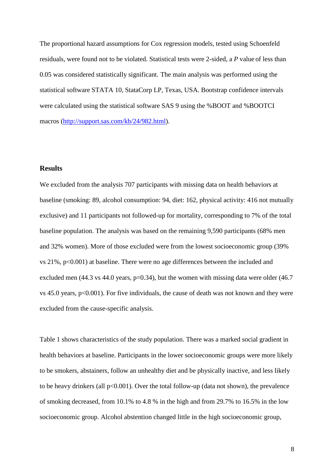The proportional hazard assumptions for Cox regression models, tested using Schoenfeld residuals, were found not to be violated. Statistical tests were 2-sided, a *P* value of less than 0.05 was considered statistically significant. The main analysis was performed using the statistical software STATA 10, StataCorp LP, Texas, USA. Bootstrap confidence intervals were calculated using the statistical software SAS 9 using the %BOOT and %BOOTCI macros [\(http://support.sas.com/kb/24/982.html\)](http://support.sas.com/kb/24/982.html).

## **Results**

We excluded from the analysis 707 participants with missing data on health behaviors at baseline (smoking: 89, alcohol consumption: 94, diet: 162, physical activity: 416 not mutually exclusive) and 11 participants not followed-up for mortality, corresponding to 7% of the total baseline population. The analysis was based on the remaining 9,590 participants (68% men and 32% women). More of those excluded were from the lowest socioeconomic group (39% vs 21%, p<0.001) at baseline. There were no age differences between the included and excluded men (44.3 vs 44.0 years,  $p=0.34$ ), but the women with missing data were older (46.7 vs 45.0 years, p<0.001). For five individuals, the cause of death was not known and they were excluded from the cause-specific analysis.

Table 1 shows characteristics of the study population. There was a marked social gradient in health behaviors at baseline. Participants in the lower socioeconomic groups were more likely to be smokers, abstainers, follow an unhealthy diet and be physically inactive, and less likely to be heavy drinkers (all  $p<0.001$ ). Over the total follow-up (data not shown), the prevalence of smoking decreased, from 10.1% to 4.8 % in the high and from 29.7% to 16.5% in the low socioeconomic group. Alcohol abstention changed little in the high socioeconomic group,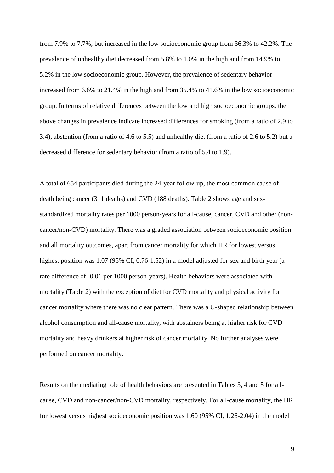from 7.9% to 7.7%, but increased in the low socioeconomic group from 36.3% to 42.2%. The prevalence of unhealthy diet decreased from 5.8% to 1.0% in the high and from 14.9% to 5.2% in the low socioeconomic group. However, the prevalence of sedentary behavior increased from 6.6% to 21.4% in the high and from 35.4% to 41.6% in the low socioeconomic group. In terms of relative differences between the low and high socioeconomic groups, the above changes in prevalence indicate increased differences for smoking (from a ratio of 2.9 to 3.4), abstention (from a ratio of 4.6 to 5.5) and unhealthy diet (from a ratio of 2.6 to 5.2) but a decreased difference for sedentary behavior (from a ratio of 5.4 to 1.9).

A total of 654 participants died during the 24-year follow-up, the most common cause of death being cancer (311 deaths) and CVD (188 deaths). Table 2 shows age and sexstandardized mortality rates per 1000 person-years for all-cause, cancer, CVD and other (noncancer/non-CVD) mortality. There was a graded association between socioeconomic position and all mortality outcomes, apart from cancer mortality for which HR for lowest versus highest position was 1.07 (95% CI, 0.76-1.52) in a model adjusted for sex and birth year (a rate difference of -0.01 per 1000 person-years). Health behaviors were associated with mortality (Table 2) with the exception of diet for CVD mortality and physical activity for cancer mortality where there was no clear pattern. There was a U-shaped relationship between alcohol consumption and all-cause mortality, with abstainers being at higher risk for CVD mortality and heavy drinkers at higher risk of cancer mortality. No further analyses were performed on cancer mortality.

Results on the mediating role of health behaviors are presented in Tables 3, 4 and 5 for allcause, CVD and non-cancer/non-CVD mortality, respectively. For all-cause mortality, the HR for lowest versus highest socioeconomic position was 1.60 (95% CI, 1.26-2.04) in the model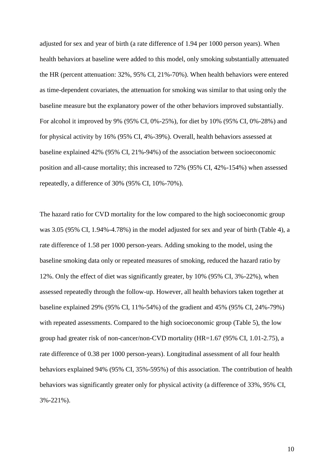adjusted for sex and year of birth (a rate difference of 1.94 per 1000 person years). When health behaviors at baseline were added to this model, only smoking substantially attenuated the HR (percent attenuation: 32%, 95% CI, 21%-70%). When health behaviors were entered as time-dependent covariates, the attenuation for smoking was similar to that using only the baseline measure but the explanatory power of the other behaviors improved substantially. For alcohol it improved by 9% (95% CI, 0%-25%), for diet by 10% (95% CI, 0%-28%) and for physical activity by 16% (95% CI, 4%-39%). Overall, health behaviors assessed at baseline explained 42% (95% CI, 21%-94%) of the association between socioeconomic position and all-cause mortality; this increased to 72% (95% CI, 42%-154%) when assessed repeatedly, a difference of 30% (95% CI, 10%-70%).

The hazard ratio for CVD mortality for the low compared to the high socioeconomic group was 3.05 (95% CI, 1.94%-4.78%) in the model adjusted for sex and year of birth (Table 4), a rate difference of 1.58 per 1000 person-years. Adding smoking to the model, using the baseline smoking data only or repeated measures of smoking, reduced the hazard ratio by 12%. Only the effect of diet was significantly greater, by 10% (95% CI, 3%-22%), when assessed repeatedly through the follow-up. However, all health behaviors taken together at baseline explained 29% (95% CI, 11%-54%) of the gradient and 45% (95% CI, 24%-79%) with repeated assessments. Compared to the high socioeconomic group (Table 5), the low group had greater risk of non-cancer/non-CVD mortality (HR=1.67 (95% CI, 1.01-2.75), a rate difference of 0.38 per 1000 person-years). Longitudinal assessment of all four health behaviors explained 94% (95% CI, 35%-595%) of this association. The contribution of health behaviors was significantly greater only for physical activity (a difference of 33%, 95% CI, 3%-221%).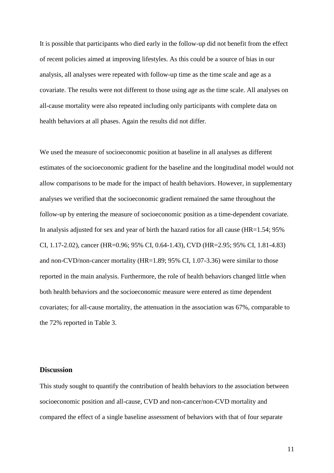It is possible that participants who died early in the follow-up did not benefit from the effect of recent policies aimed at improving lifestyles. As this could be a source of bias in our analysis, all analyses were repeated with follow-up time as the time scale and age as a covariate. The results were not different to those using age as the time scale. All analyses on all-cause mortality were also repeated including only participants with complete data on health behaviors at all phases. Again the results did not differ.

We used the measure of socioeconomic position at baseline in all analyses as different estimates of the socioeconomic gradient for the baseline and the longitudinal model would not allow comparisons to be made for the impact of health behaviors. However, in supplementary analyses we verified that the socioeconomic gradient remained the same throughout the follow-up by entering the measure of socioeconomic position as a time-dependent covariate. In analysis adjusted for sex and year of birth the hazard ratios for all cause (HR=1.54; 95% CI, 1.17-2.02), cancer (HR=0.96; 95% CI, 0.64-1.43), CVD (HR=2.95; 95% CI, 1.81-4.83) and non-CVD/non-cancer mortality (HR=1.89; 95% CI, 1.07-3.36) were similar to those reported in the main analysis. Furthermore, the role of health behaviors changed little when both health behaviors and the socioeconomic measure were entered as time dependent covariates; for all-cause mortality, the attenuation in the association was 67%, comparable to the 72% reported in Table 3.

## **Discussion**

This study sought to quantify the contribution of health behaviors to the association between socioeconomic position and all-cause, CVD and non-cancer/non-CVD mortality and compared the effect of a single baseline assessment of behaviors with that of four separate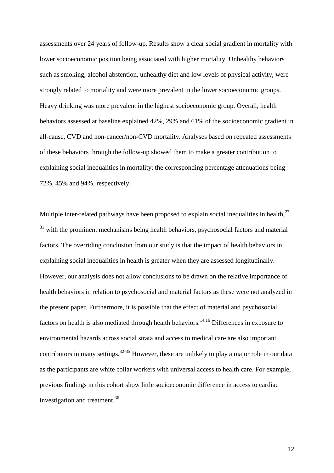assessments over 24 years of follow-up. Results show a clear social gradient in mortality with lower socioeconomic position being associated with higher mortality. Unhealthy behaviors such as smoking, alcohol abstention, unhealthy diet and low levels of physical activity, were strongly related to mortality and were more prevalent in the lower socioeconomic groups. Heavy drinking was more prevalent in the highest socioeconomic group. Overall, health behaviors assessed at baseline explained 42%, 29% and 61% of the socioeconomic gradient in all-cause, CVD and non-cancer/non-CVD mortality. Analyses based on repeated assessments of these behaviors through the follow-up showed them to make a greater contribution to explaining social inequalities in mortality; the corresponding percentage attenuations being 72%, 45% and 94%, respectively.

Multiple inter-related pathways have been proposed to explain social inequalities in health,  $27$ -<sup>31</sup> with the prominent mechanisms being health behaviors, psychosocial factors and material factors. The overriding conclusion from our study is that the impact of health behaviors in explaining social inequalities in health is greater when they are assessed longitudinally. However, our analysis does not allow conclusions to be drawn on the relative importance of health behaviors in relation to psychosocial and material factors as these were not analyzed in the present paper. Furthermore, it is possible that the effect of material and psychosocial factors on health is also mediated through health behaviors.<sup>14;16</sup> Differences in exposure to environmental hazards across social strata and access to medical care are also important contributors in many settings.<sup>32-35</sup> However, these are unlikely to play a major role in our data as the participants are white collar workers with universal access to health care. For example, previous findings in this cohort show little socioeconomic difference in access to cardiac investigation and treatment.<sup>36</sup>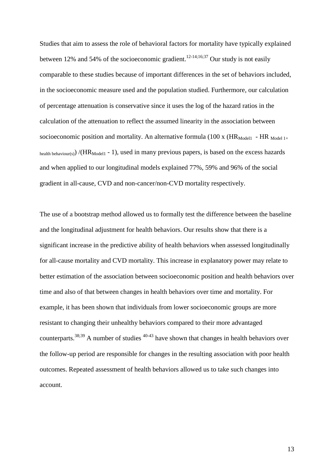Studies that aim to assess the role of behavioral factors for mortality have typically explained between 12% and 54% of the socioeconomic gradient.<sup>12-14;16;37</sup> Our study is not easily comparable to these studies because of important differences in the set of behaviors included, in the socioeconomic measure used and the population studied. Furthermore, our calculation of percentage attenuation is conservative since it uses the log of the hazard ratios in the calculation of the attenuation to reflect the assumed linearity in the association between socioeconomic position and mortality. An alternative formula (100 x ( $HR_{Model1}$  -  $HR_{Model1+}$ health behaviour(s)) /( $HR_{Model}$  - 1), used in many previous papers, is based on the excess hazards and when applied to our longitudinal models explained 77%, 59% and 96% of the social gradient in all-cause, CVD and non-cancer/non-CVD mortality respectively.

The use of a bootstrap method allowed us to formally test the difference between the baseline and the longitudinal adjustment for health behaviors. Our results show that there is a significant increase in the predictive ability of health behaviors when assessed longitudinally for all-cause mortality and CVD mortality. This increase in explanatory power may relate to better estimation of the association between socioeconomic position and health behaviors over time and also of that between changes in health behaviors over time and mortality. For example, it has been shown that individuals from lower socioeconomic groups are more resistant to changing their unhealthy behaviors compared to their more advantaged counterparts.<sup>38;39</sup> A number of studies  $40-43$  have shown that changes in health behaviors over the follow-up period are responsible for changes in the resulting association with poor health outcomes. Repeated assessment of health behaviors allowed us to take such changes into account.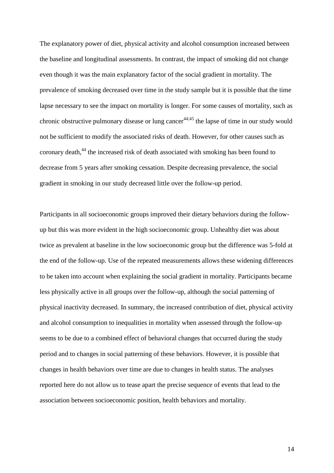The explanatory power of diet, physical activity and alcohol consumption increased between the baseline and longitudinal assessments. In contrast, the impact of smoking did not change even though it was the main explanatory factor of the social gradient in mortality. The prevalence of smoking decreased over time in the study sample but it is possible that the time lapse necessary to see the impact on mortality is longer. For some causes of mortality, such as chronic obstructive pulmonary disease or lung cancer<sup> $44,45$ </sup> the lapse of time in our study would not be sufficient to modify the associated risks of death. However, for other causes such as coronary death,<sup>44</sup> the increased risk of death associated with smoking has been found to decrease from 5 years after smoking cessation. Despite decreasing prevalence, the social gradient in smoking in our study decreased little over the follow-up period.

Participants in all socioeconomic groups improved their dietary behaviors during the followup but this was more evident in the high socioeconomic group. Unhealthy diet was about twice as prevalent at baseline in the low socioeconomic group but the difference was 5-fold at the end of the follow-up. Use of the repeated measurements allows these widening differences to be taken into account when explaining the social gradient in mortality. Participants became less physically active in all groups over the follow-up, although the social patterning of physical inactivity decreased. In summary, the increased contribution of diet, physical activity and alcohol consumption to inequalities in mortality when assessed through the follow-up seems to be due to a combined effect of behavioral changes that occurred during the study period and to changes in social patterning of these behaviors. However, it is possible that changes in health behaviors over time are due to changes in health status. The analyses reported here do not allow us to tease apart the precise sequence of events that lead to the association between socioeconomic position, health behaviors and mortality.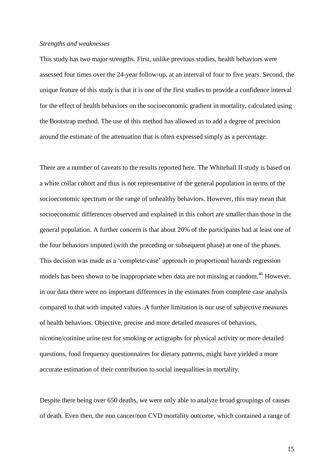#### *Strengths and weaknesses*

This study has two major strengths. First, unlike previous studies, health behaviors were assessed four times over the 24-year follow-up, at an interval of four to five years. Second, the unique feature of this study is that it is one of the first studies to provide a confidence interval for the effect of health behaviors on the socioeconomic gradient in mortality, calculated using the Bootstrap method. The use of this method has allowed us to add a degree of precision around the estimate of the attenuation that is often expressed simply as a percentage.

There are a number of caveats to the results reported here. The Whitehall II study is based on a white collar cohort and thus is not representative of the general population in terms of the socioeconomic spectrum or the range of unhealthy behaviors. However, this may mean that socioeconomic differences observed and explained in this cohort are smaller than those in the general population. A further concern is that about 20% of the participants had at least one of the four behaviors imputed (with the preceding or subsequent phase) at one of the phases. This decision was made as a "complete-case" approach in proportional hazards regression models has been shown to be inappropriate when data are not missing at random.<sup>46</sup> However, in our data there were no important differences in the estimates from complete case analysis compared to that with imputed values. A further limitation is our use of subjective measures of health behaviors. Objective, precise and more detailed measures of behaviors, nicotine/cotinine urine test for smoking or actigraphs for physical activity or more detailed questions, food frequency questionnaires for dietary patterns, might have yielded a more accurate estimation of their contribution to social inequalities in mortality.

Despite there being over 650 deaths, we were only able to analyze broad groupings of causes of death. Even then, the non cancer/non CVD mortality outcome, which contained a range of

15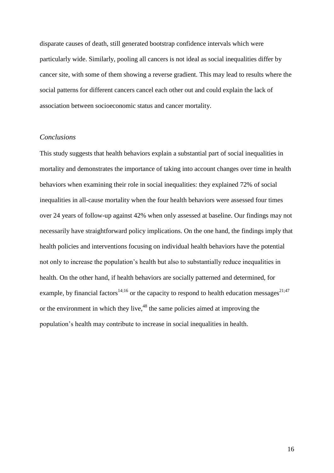disparate causes of death, still generated bootstrap confidence intervals which were particularly wide. Similarly, pooling all cancers is not ideal as social inequalities differ by cancer site, with some of them showing a reverse gradient. This may lead to results where the social patterns for different cancers cancel each other out and could explain the lack of association between socioeconomic status and cancer mortality.

#### *Conclusions*

This study suggests that health behaviors explain a substantial part of social inequalities in mortality and demonstrates the importance of taking into account changes over time in health behaviors when examining their role in social inequalities: they explained 72% of social inequalities in all-cause mortality when the four health behaviors were assessed four times over 24 years of follow-up against 42% when only assessed at baseline. Our findings may not necessarily have straightforward policy implications. On the one hand, the findings imply that health policies and interventions focusing on individual health behaviors have the potential not only to increase the population"s health but also to substantially reduce inequalities in health. On the other hand, if health behaviors are socially patterned and determined, for example, by financial factors<sup>14;16</sup> or the capacity to respond to health education messages<sup>21;47</sup> or the environment in which they live,<sup>48</sup> the same policies aimed at improving the population"s health may contribute to increase in social inequalities in health.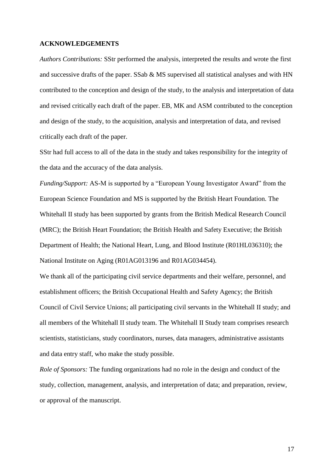## **ACKNOWLEDGEMENTS**

*Authors Contributions:* SStr performed the analysis, interpreted the results and wrote the first and successive drafts of the paper. SSab & MS supervised all statistical analyses and with HN contributed to the conception and design of the study, to the analysis and interpretation of data and revised critically each draft of the paper. EB, MK and ASM contributed to the conception and design of the study, to the acquisition, analysis and interpretation of data, and revised critically each draft of the paper.

SStr had full access to all of the data in the study and takes responsibility for the integrity of the data and the accuracy of the data analysis.

*Funding/Support:* AS-M is supported by a "European Young Investigator Award" from the European Science Foundation and MS is supported by the British Heart Foundation. The Whitehall II study has been supported by grants from the British Medical Research Council (MRC); the British Heart Foundation; the British Health and Safety Executive; the British Department of Health; the National Heart, Lung, and Blood Institute (R01HL036310); the National Institute on Aging (R01AG013196 and R01AG034454).

We thank all of the participating civil service departments and their welfare, personnel, and establishment officers; the British Occupational Health and Safety Agency; the British Council of Civil Service Unions; all participating civil servants in the Whitehall II study; and all members of the Whitehall II study team. The Whitehall II Study team comprises research scientists, statisticians, study coordinators, nurses, data managers, administrative assistants and data entry staff, who make the study possible.

*Role of Sponsors:* The funding organizations had no role in the design and conduct of the study, collection, management, analysis, and interpretation of data; and preparation, review, or approval of the manuscript.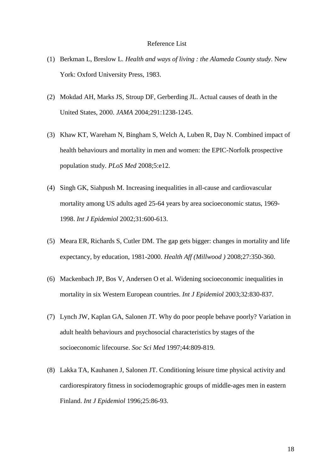## Reference List

- (1) Berkman L, Breslow L. *Health and ways of living : the Alameda County study*. New York: Oxford University Press, 1983.
- (2) Mokdad AH, Marks JS, Stroup DF, Gerberding JL. Actual causes of death in the United States, 2000. *JAMA* 2004;291:1238-1245.
- (3) Khaw KT, Wareham N, Bingham S, Welch A, Luben R, Day N. Combined impact of health behaviours and mortality in men and women: the EPIC-Norfolk prospective population study. *PLoS Med* 2008;5:e12.
- (4) Singh GK, Siahpush M. Increasing inequalities in all-cause and cardiovascular mortality among US adults aged 25-64 years by area socioeconomic status, 1969- 1998. *Int J Epidemiol* 2002;31:600-613.
- (5) Meara ER, Richards S, Cutler DM. The gap gets bigger: changes in mortality and life expectancy, by education, 1981-2000. *Health Aff (Millwood )* 2008;27:350-360.
- (6) Mackenbach JP, Bos V, Andersen O et al. Widening socioeconomic inequalities in mortality in six Western European countries. *Int J Epidemiol* 2003;32:830-837.
- (7) Lynch JW, Kaplan GA, Salonen JT. Why do poor people behave poorly? Variation in adult health behaviours and psychosocial characteristics by stages of the socioeconomic lifecourse. *Soc Sci Med* 1997;44:809-819.
- (8) Lakka TA, Kauhanen J, Salonen JT. Conditioning leisure time physical activity and cardiorespiratory fitness in sociodemographic groups of middle-ages men in eastern Finland. *Int J Epidemiol* 1996;25:86-93.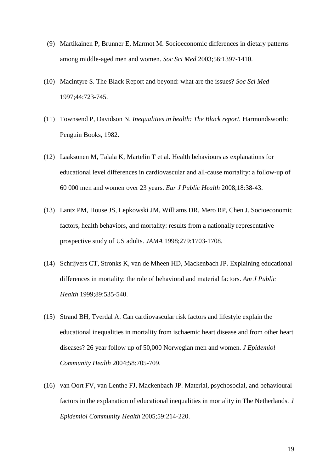- (9) Martikainen P, Brunner E, Marmot M. Socioeconomic differences in dietary patterns among middle-aged men and women. *Soc Sci Med* 2003;56:1397-1410.
- (10) Macintyre S. The Black Report and beyond: what are the issues? *Soc Sci Med* 1997;44:723-745.
- (11) Townsend P, Davidson N. *Inequalities in health: The Black report.* Harmondsworth: Penguin Books, 1982.
- (12) Laaksonen M, Talala K, Martelin T et al. Health behaviours as explanations for educational level differences in cardiovascular and all-cause mortality: a follow-up of 60 000 men and women over 23 years. *Eur J Public Health* 2008;18:38-43.
- (13) Lantz PM, House JS, Lepkowski JM, Williams DR, Mero RP, Chen J. Socioeconomic factors, health behaviors, and mortality: results from a nationally representative prospective study of US adults. *JAMA* 1998;279:1703-1708.
- (14) Schrijvers CT, Stronks K, van de Mheen HD, Mackenbach JP. Explaining educational differences in mortality: the role of behavioral and material factors. *Am J Public Health* 1999;89:535-540.
- (15) Strand BH, Tverdal A. Can cardiovascular risk factors and lifestyle explain the educational inequalities in mortality from ischaemic heart disease and from other heart diseases? 26 year follow up of 50,000 Norwegian men and women. *J Epidemiol Community Health* 2004;58:705-709.
- (16) van Oort FV, van Lenthe FJ, Mackenbach JP. Material, psychosocial, and behavioural factors in the explanation of educational inequalities in mortality in The Netherlands. *J Epidemiol Community Health* 2005;59:214-220.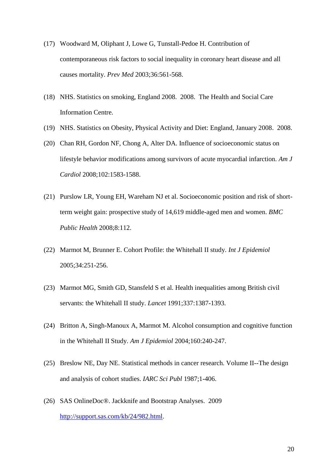- (17) Woodward M, Oliphant J, Lowe G, Tunstall-Pedoe H. Contribution of contemporaneous risk factors to social inequality in coronary heart disease and all causes mortality. *Prev Med* 2003;36:561-568.
- (18) NHS. Statistics on smoking, England 2008. 2008. The Health and Social Care Information Centre.
- (19) NHS. Statistics on Obesity, Physical Activity and Diet: England, January 2008. 2008.
- (20) Chan RH, Gordon NF, Chong A, Alter DA. Influence of socioeconomic status on lifestyle behavior modifications among survivors of acute myocardial infarction. *Am J Cardiol* 2008;102:1583-1588.
- (21) Purslow LR, Young EH, Wareham NJ et al. Socioeconomic position and risk of shortterm weight gain: prospective study of 14,619 middle-aged men and women. *BMC Public Health* 2008;8:112.
- (22) Marmot M, Brunner E. Cohort Profile: the Whitehall II study. *Int J Epidemiol* 2005;34:251-256.
- (23) Marmot MG, Smith GD, Stansfeld S et al. Health inequalities among British civil servants: the Whitehall II study. *Lancet* 1991;337:1387-1393.
- (24) Britton A, Singh-Manoux A, Marmot M. Alcohol consumption and cognitive function in the Whitehall II Study. *Am J Epidemiol* 2004;160:240-247.
- (25) Breslow NE, Day NE. Statistical methods in cancer research. Volume II--The design and analysis of cohort studies. *IARC Sci Publ* 1987;1-406.
- (26) SAS OnlineDoc®. Jackknife and Bootstrap Analyses. 2009 [http://support.sas.com/kb/24/982.html.](http://support.sas.com/kb/24/982.html)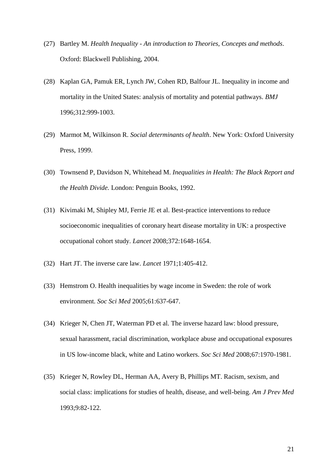- (27) Bartley M. *Health Inequality - An introduction to Theories, Concepts and methods*. Oxford: Blackwell Publishing, 2004.
- (28) Kaplan GA, Pamuk ER, Lynch JW, Cohen RD, Balfour JL. Inequality in income and mortality in the United States: analysis of mortality and potential pathways. *BMJ* 1996;312:999-1003.
- (29) Marmot M, Wilkinson R. *Social determinants of health*. New York: Oxford University Press, 1999.
- (30) Townsend P, Davidson N, Whitehead M. *Inequalities in Health: The Black Report and the Health Divide.* London: Penguin Books, 1992.
- (31) Kivimaki M, Shipley MJ, Ferrie JE et al. Best-practice interventions to reduce socioeconomic inequalities of coronary heart disease mortality in UK: a prospective occupational cohort study. *Lancet* 2008;372:1648-1654.
- (32) Hart JT. The inverse care law. *Lancet* 1971;1:405-412.
- (33) Hemstrom O. Health inequalities by wage income in Sweden: the role of work environment. *Soc Sci Med* 2005;61:637-647.
- (34) Krieger N, Chen JT, Waterman PD et al. The inverse hazard law: blood pressure, sexual harassment, racial discrimination, workplace abuse and occupational exposures in US low-income black, white and Latino workers. *Soc Sci Med* 2008;67:1970-1981.
- (35) Krieger N, Rowley DL, Herman AA, Avery B, Phillips MT. Racism, sexism, and social class: implications for studies of health, disease, and well-being. *Am J Prev Med* 1993;9:82-122.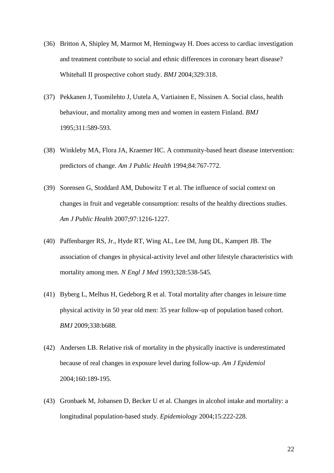- (36) Britton A, Shipley M, Marmot M, Hemingway H. Does access to cardiac investigation and treatment contribute to social and ethnic differences in coronary heart disease? Whitehall II prospective cohort study. *BMJ* 2004;329:318.
- (37) Pekkanen J, Tuomilehto J, Uutela A, Vartiainen E, Nissinen A. Social class, health behaviour, and mortality among men and women in eastern Finland. *BMJ* 1995;311:589-593.
- (38) Winkleby MA, Flora JA, Kraemer HC. A community-based heart disease intervention: predictors of change. *Am J Public Health* 1994;84:767-772.
- (39) Sorensen G, Stoddard AM, Dubowitz T et al. The influence of social context on changes in fruit and vegetable consumption: results of the healthy directions studies. *Am J Public Health* 2007;97:1216-1227.
- (40) Paffenbarger RS, Jr., Hyde RT, Wing AL, Lee IM, Jung DL, Kampert JB. The association of changes in physical-activity level and other lifestyle characteristics with mortality among men. *N Engl J Med* 1993;328:538-545.
- (41) Byberg L, Melhus H, Gedeborg R et al. Total mortality after changes in leisure time physical activity in 50 year old men: 35 year follow-up of population based cohort. *BMJ* 2009;338:b688.
- (42) Andersen LB. Relative risk of mortality in the physically inactive is underestimated because of real changes in exposure level during follow-up. *Am J Epidemiol* 2004;160:189-195.
- (43) Gronbaek M, Johansen D, Becker U et al. Changes in alcohol intake and mortality: a longitudinal population-based study. *Epidemiology* 2004;15:222-228.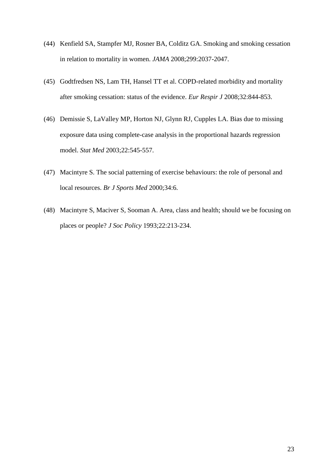- (44) Kenfield SA, Stampfer MJ, Rosner BA, Colditz GA. Smoking and smoking cessation in relation to mortality in women. *JAMA* 2008;299:2037-2047.
- (45) Godtfredsen NS, Lam TH, Hansel TT et al. COPD-related morbidity and mortality after smoking cessation: status of the evidence. *Eur Respir J* 2008;32:844-853.
- (46) Demissie S, LaValley MP, Horton NJ, Glynn RJ, Cupples LA. Bias due to missing exposure data using complete-case analysis in the proportional hazards regression model. *Stat Med* 2003;22:545-557.
- (47) Macintyre S. The social patterning of exercise behaviours: the role of personal and local resources. *Br J Sports Med* 2000;34:6.
- (48) Macintyre S, Maciver S, Sooman A. Area, class and health; should we be focusing on places or people? *J Soc Policy* 1993;22:213-234.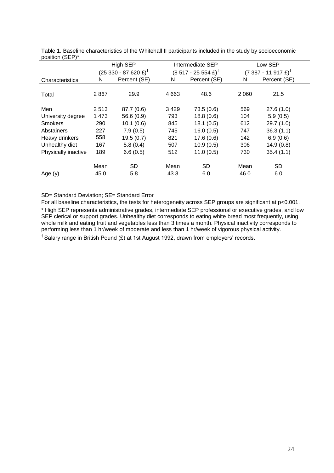|                     |         | High SEP                         |        | Intermediate SEP                     | Low SEP                         |              |  |  |
|---------------------|---------|----------------------------------|--------|--------------------------------------|---------------------------------|--------------|--|--|
|                     |         | (25 330 - 87 620 £) <sup>†</sup> |        | $(8517 - 25554 \text{ E})^{\dagger}$ | (7 387 - 11 917 £) <sup>†</sup> |              |  |  |
| Characteristics     | N       | Percent (SE)                     | N      | Percent (SE)                         | N                               | Percent (SE) |  |  |
|                     |         |                                  |        |                                      |                                 |              |  |  |
| Total               | 2867    | 29.9                             | 4 6 63 | 48.6                                 | 2 0 6 0                         | 21.5         |  |  |
|                     |         |                                  |        |                                      |                                 |              |  |  |
| Men                 | 2513    | 87.7 (0.6)                       | 3429   | 73.5(0.6)                            | 569                             | 27.6(1.0)    |  |  |
| University degree   | 1 4 7 3 | 56.6 (0.9)                       | 793    | 18.8(0.6)                            | 104                             | 5.9(0.5)     |  |  |
| <b>Smokers</b>      | 290     | 10.1(0.6)                        | 845    | 18.1(0.5)                            | 612                             | 29.7(1.0)    |  |  |
| Abstainers          | 227     | 7.9(0.5)                         | 745    | 16.0(0.5)                            | 747                             | 36.3(1.1)    |  |  |
| Heavy drinkers      | 558     | 19.5(0.7)                        | 821    | 17.6(0.6)                            | 142                             | 6.9(0.6)     |  |  |
| Unhealthy diet      | 167     | 5.8(0.4)                         | 507    | 10.9(0.5)                            | 306                             | 14.9(0.8)    |  |  |
| Physically inactive | 189     | 6.6(0.5)                         | 512    | 11.0(0.5)                            | 730                             | 35.4(1.1)    |  |  |
|                     | Mean    | <b>SD</b>                        | Mean   | <b>SD</b>                            | Mean                            | <b>SD</b>    |  |  |
| Age $(y)$           | 45.0    | 5.8                              | 43.3   | 6.0                                  | 46.0                            | 6.0          |  |  |
|                     |         |                                  |        |                                      |                                 |              |  |  |

Table 1. Baseline characteristics of the Whitehall II participants included in the study by socioeconomic position (SEP)\*.

SD= Standard Deviation; SE= Standard Error

For all baseline characteristics, the tests for heterogeneity across SEP groups are significant at p<0.001. \* High SEP represents administrative grades, intermediate SEP professional or executive grades, and low SEP clerical or support grades. Unhealthy diet corresponds to eating white bread most frequently, using whole milk and eating fruit and vegetables less than 3 times a month. Physical inactivity corresponds to performing less than 1 hr/week of moderate and less than 1 hr/week of vigorous physical activity.

 $<sup>†</sup>$  Salary range in British Pound (£) at 1st August 1992, drawn from employers' records.</sup>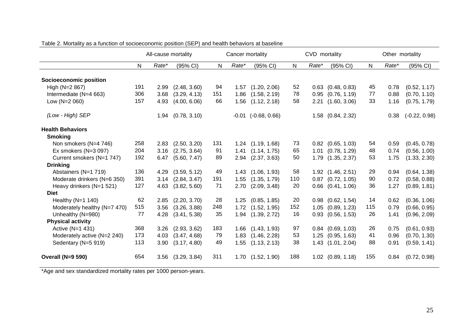|                              | All-cause mortality |       |              |           | Cancer mortality |                         |     | CVD mortality |                       |              | Other mortality |                 |  |
|------------------------------|---------------------|-------|--------------|-----------|------------------|-------------------------|-----|---------------|-----------------------|--------------|-----------------|-----------------|--|
|                              | ${\sf N}$           | Rate* | (95% CI)     | ${\sf N}$ | Rate*            | (95% CI)                | N   | Rate*         | (95% CI)              | $\mathsf{N}$ | Rate*           | (95% CI)        |  |
| Socioeconomic position       |                     |       |              |           |                  |                         |     |               |                       |              |                 |                 |  |
| High (N=2 867)               | 191                 | 2.99  | (2.48, 3.60) | 94        |                  | $1.57$ $(1.20, 2.06)$   | 52  |               | $0.63$ $(0.48, 0.83)$ | 45           | 0.78            | (0.52, 1.17)    |  |
| Intermediate (N=4 663)       | 306                 | 3.68  | (3.29, 4.13) | 151       | 1.86             | (1.58, 2.19)            | 78  | 0.95          | (0.76, 1.19)          | 77           | 0.88            | (0.70, 1.10)    |  |
| Low (N=2 060)                | 157                 | 4.93  | (4.00, 6.06) | 66        | 1.56             | (1.12, 2.18)            | 58  | 2.21          | (1.60, 3.06)          | 33           | 1.16            | (0.75, 1.79)    |  |
| (Low - High) SEP             |                     | 1.94  | (0.78, 3.10) |           |                  | $-0.01$ $(-0.68, 0.66)$ |     |               | 1.58 (0.84, 2.32)     |              | 0.38            | $(-0.22, 0.98)$ |  |
| <b>Health Behaviors</b>      |                     |       |              |           |                  |                         |     |               |                       |              |                 |                 |  |
| <b>Smoking</b>               |                     |       |              |           |                  |                         |     |               |                       |              |                 |                 |  |
| Non smokers (N=4 746)        | 258                 | 2.83  | (2.50, 3.20) | 131       |                  | 1.24 (1.19, 1.68)       | 73  |               | $0.82$ $(0.65, 1.03)$ | 54           | 0.59            | (0.45, 0.78)    |  |
| Ex smokers (N=3 097)         | 204                 | 3.16  | (2.75, 3.64) | 91        | 1.41             | (1.14, 1.75)            | 65  | 1.01          | (0.78, 1.29)          | 48           | 0.74            | (0.56, 1.00)    |  |
| Current smokers (N=1 747)    | 192                 | 6.47  | (5.60, 7.47) | 89        |                  | 2.94 (2.37, 3.63)       | 50  | 1.79          | (1.35, 2.37)          | 53           | 1.75            | (1.33, 2.30)    |  |
| <b>Drinking</b>              |                     |       |              |           |                  |                         |     |               |                       |              |                 |                 |  |
| Abstainers (N=1 719)         | 136                 | 4.29  | (3.59, 5.12) | 49        |                  | 1.43 (1.06, 1.93)       | 58  |               | 1.92 (1.46, 2.51)     | 29           | 0.94            | (0.64, 1.38)    |  |
| Moderate drinkers (N=6 350)  | 391                 | 3.14  | (2.84, 3.47) | 191       | 1.55             | (1.35, 1.79)            | 110 |               | $0.87$ $(0.72, 1.05)$ | 90           | 0.72            | (0.58, 0.88)    |  |
| Heavy drinkers (N=1 521)     | 127                 | 4.63  | (3.82, 5.60) | 71        | 2.70             | (2.09, 3.48)            | 20  |               | $0.66$ $(0.41, 1.06)$ | 36           | 1.27            | (0.89, 1.81)    |  |
| <b>Diet</b>                  |                     |       |              |           |                  |                         |     |               |                       |              |                 |                 |  |
| Healthy $(N=1 140)$          | 62                  | 2.85  | (2.20, 3.70) | 28        |                  | $1.25$ $(0.85, 1.85)$   | 20  |               | $0.98$ $(0.62, 1.54)$ | 14           | 0.62            | (0.36, 1.06)    |  |
| Moderately healthy (N=7 470) | 515                 | 3.56  | (3.26, 3.88) | 248       | 1.72             | (1.52, 1.95)            | 152 |               | 1.05 (0.89, 1.23)     | 115          | 0.79            | (0.66, 0.95)    |  |
| Unhealthy (N=980)            | 77                  | 4.28  | (3.41, 5.38) | 35        |                  | 1.94 (1.39, 2.72)       | 16  | 0.93          | (0.56, 1.53)          | 26           | 1.41            | (0.96, 2.09)    |  |
| <b>Physical activity</b>     |                     |       |              |           |                  |                         |     |               |                       |              |                 |                 |  |
| Active (N=1 431)             | 368                 | 3.26  | (2.93, 3.62) | 183       |                  | 1.66 (1.43, 1.93)       | 97  |               | $0.84$ $(0.69, 1.03)$ | 26           | 0.75            | (0.61, 0.93)    |  |
| Moderately active (N=2 240)  | 173                 | 4.03  | (3.47, 4.68) | 79        | 1.83             | (1.46, 2.28)            | 53  |               | 1.25 (0.95, 1.63)     | 41           | 0.96            | (0.70, 1.30)    |  |
| Sedentary (N=5 919)          | 113                 | 3.90  | (3.17, 4.80) | 49        | 1.55             | (1.13, 2.13)            | 38  |               | 1.43 (1.01, 2.04)     | 88           | 0.91            | (0.59, 1.41)    |  |
| Overall (N=9 590)            | 654                 | 3.56  | (3.29, 3.84) | 311       | 1.70             | (1.52, 1.90)            | 188 |               | $1.02$ $(0.89, 1.18)$ | 155          | 0.84            | (0.72, 0.98)    |  |

Table 2. Mortality as a function of socioeconomic position (SEP) and health behaviors at baseline

\*Age and sex standardized mortality rates per 1000 person-years.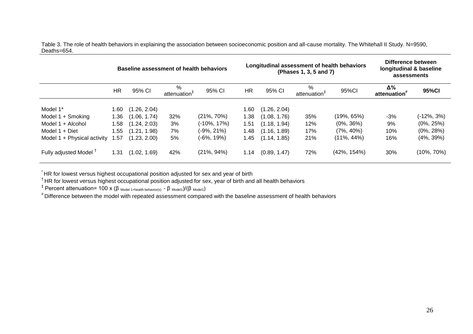Table 3. The role of health behaviors in explaining the association between socioeconomic position and all-cause mortality. The Whitehall II Study. N=9590, Deaths=654.

|                                   | Baseline assessment of health behaviors |              |                               |                 |      |              | Longitudinal assessment of health behaviors<br>(Phases 1, 3, 5 and 7) | Difference between<br>longitudinal & baseline<br>assessments |                    |                |
|-----------------------------------|-----------------------------------------|--------------|-------------------------------|-----------------|------|--------------|-----------------------------------------------------------------------|--------------------------------------------------------------|--------------------|----------------|
|                                   | HR                                      | 95% CI       | %<br>attenuation <sup>#</sup> | 95% CI          | HR.  | 95% CI       | %<br>attenuation <sup>®</sup>                                         | 95%CI                                                        | Δ%<br>attenuation' | 95%CI          |
| Model 1*                          | .60                                     | (1.26, 2.04) |                               |                 | 1.60 | (1.26, 2.04) |                                                                       |                                                              |                    |                |
| Model 1 + Smoking                 | .36                                     | (1.06, 1.74) | 32%                           | $(21\%, 70\%)$  | 1.38 | (1.08, 1.76) | 35%                                                                   | (19%, 65%)                                                   | -3%                | (-12%, 3%)     |
| Model 1 + Alcohol                 | .58                                     | (1.24, 2.03) | 3%                            | $(-10\%, 17\%)$ | 1.51 | (1.18, 1.94) | 12%                                                                   | $(0\%, 36\%)$                                                | 9%                 | $(0\%, 25\%)$  |
| Model $1 +$ Diet                  | .55                                     | (1.21, 1.98) | 7%                            | $(-9\%, 21\%)$  | 1.48 | (1.16, 1.89) | 17%                                                                   | $(7\%, 40\%)$                                                | 10%                | $(0\%, 28\%)$  |
| Model 1 + Physical activity       | .57                                     | (1.23, 2.00) | 5%                            | $(-6\%, 19\%)$  | 1.45 | (1.14, 1.85) | 21%                                                                   | $(11\%, 44\%)$                                               | 16%                | $(4\%, 39\%)$  |
| Fully adjusted Model <sup>T</sup> | $\cdot$ .31                             | (1.02, 1.69) | 42%                           | $(21\%, 94\%)$  | 1.14 | (0.89, 1.47) | 72%                                                                   | $(42\%, 154\%)$                                              | 30%                | $(10\%, 70\%)$ |

 $\sum\limits_{{\bf -} }^{{\bf -} }$  HR for lowest versus highest occupational position adjusted for sex and year of birth

† HR for lowest versus highest occupational position adjusted for sex, year of birth and all health behaviors

<sup>‡</sup> Percent attenuation= 100 x (β <sub>Model 1+health behavior(s) - β <sub>Model1</sub>)/(β <sub>Model1</sub>)</sub>

# Difference between the model with repeated assessment compared with the baseline assessment of health behaviors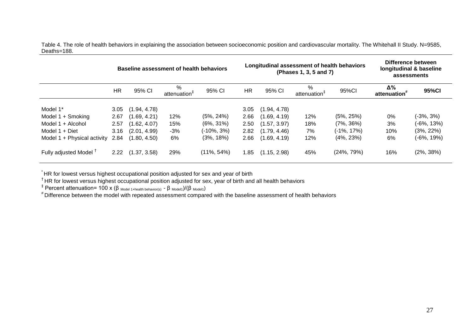Table 4. The role of health behaviors in explaining the association between socioeconomic position and cardiovascular mortality. The Whitehall II Study. N=9585, Deaths=188.

|                                   | <b>Baseline assessment of health behaviors</b> |              |                               |                |           |              | Longitudinal assessment of health behaviors<br>(Phases 1, 3, 5 and 7) | Difference between<br>longitudinal & baseline<br>assessments |                                |               |
|-----------------------------------|------------------------------------------------|--------------|-------------------------------|----------------|-----------|--------------|-----------------------------------------------------------------------|--------------------------------------------------------------|--------------------------------|---------------|
|                                   | <b>HR</b>                                      | 95% CI       | %<br>attenuation <sup>#</sup> | 95% CI         | <b>HR</b> | 95% CI       | %<br>attenuation                                                      | 95%CI                                                        | Δ%<br>attenuation <sup>*</sup> | 95%CI         |
| Model 1*                          | 3.05                                           | (1.94, 4.78) |                               |                | 3.05      | (1.94, 4.78) |                                                                       |                                                              |                                |               |
| Model 1 + Smoking                 | 2.67                                           | (1.69, 4.21) | 12%                           | $(5\%, 24\%)$  | 2.66      | (1.69, 4.19) | 12%                                                                   | $(5\%, 25\%)$                                                | 0%                             | (-3%, 3%)     |
| Model 1 + Alcohol                 | 2.57                                           | (1.62, 4.07) | 15%                           | $(6\%, 31\%)$  | 2.50      | (1.57, 3.97) | 18%                                                                   | $(7\%, 36\%)$                                                | 3%                             | (-6%, 13%)    |
| Model $1 +$ Diet                  | 3.16                                           | (2.01, 4.99) | $-3%$                         | (-10%, 3%)     | 2.82      | (1.79, 4.46) | 7%                                                                    | $(-1\%, 17\%)$                                               | 10%                            | $(3\%, 22\%)$ |
| Model 1 + Physical activity       | 2.84                                           | (1.80, 4.50) | 6%                            | $(3\%, 18\%)$  | 2.66      | (1.69, 4.19) | 12%                                                                   | $(4\%, 23\%)$                                                | 6%                             | (-6%, 19%)    |
| Fully adjusted Model <sup>T</sup> | 2.22                                           | (1.37, 3.58) | 29%                           | $(11\%, 54\%)$ | .85       | (1.15, 2.98) | 45%                                                                   | (24%, 79%)                                                   | 16%                            | $(2\%, 38\%)$ |

\* HR for lowest versus highest occupational position adjusted for sex and year of birth

 $^\dagger$ HR for lowest versus highest occupational position adjusted for sex, year of birth and all health behaviors

<sup>‡</sup> Percent attenuation= 100 x (β <sub>Model 1+health behavior(s)  $-$  β <sub>Model1</sub>)/(β <sub>Model1</sub>)</sub>

 $^{\text{\#}}$ Difference between the model with repeated assessment compared with the baseline assessment of health behaviors